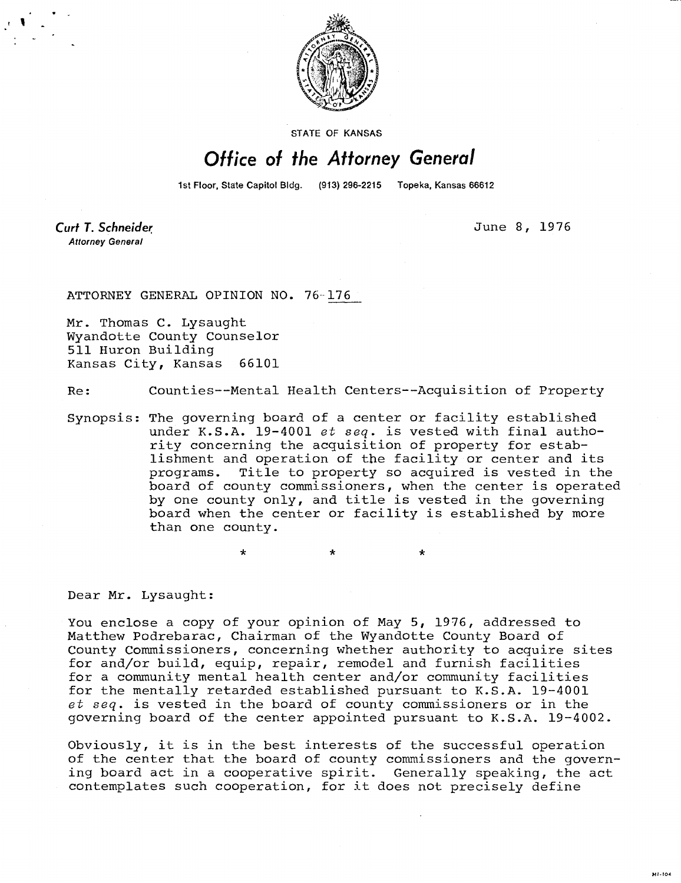

**STATE OF KANSAS** 

## Office of the Attorney General

1st Floor, State Capitol Bldg. (913) 296-2215 Topeka, Kansas 66612

Curt T. Schneider **Attorney General** 

June 8, 1976

ATTORNEY GENERAL OPINION NO. 76-176

 $\star$ 

Mr. Thomas C. Lysaught Wyandotte County Counselor 511 Huron Building Kansas City, Kansas 66101

Re: Counties--Mental Health Centers--Acquisition of Property

Synopsis: The governing board of a center or facility established under K.S.A. 19-4001 et seq. is vested with final authority concerning the acquisition of property for establishment and operation of the facility or center and its programs. Title to property so acquired is vested in the board of county commissioners, when the center is operated by one county only, and title is vested in the governing board when the center or facility is established by more than one county.

÷

Dear Mr. Lysaught:

You enclose a copy of your opinion of May 5, 1976, addressed to Matthew Podrebarac, Chairman of the Wyandotte County Board of County Commissioners, concerning whether authority to acquire sites for and/or build, equip, repair, remodel and furnish facilities for a community mental health center and/or community facilities for the mentally retarded established pursuant to K.S.A. 19-4001 et seq. is vested in the board of county commissioners or in the governing board of the center appointed pursuant to K.S.A. 19-4002.

Obviously, it is in the best interests of the successful operation of the center that the board of county commissioners and the governing board act in a cooperative spirit. Generally speaking, the act contemplates such cooperation, for it does not precisely define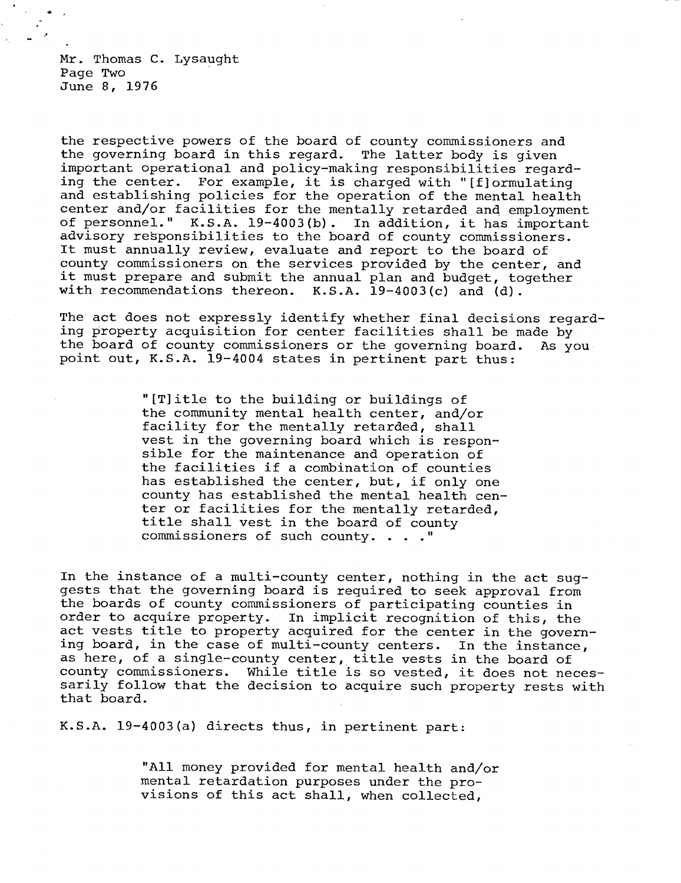Mr. Thomas C. Lysaught Page Two June 8, 1976

the respective powers of the board of county commissioners and the governing board in this regard. The latter body is given important operational and policy-making responsibilities regarding the center. For example, it is charged with "[f]ormulating and establishing policies for the operation of the mental health center and/or facilities for the mentally retarded and employment of personnel." K.S.A. 19-4003(b). In addition, it has important advisory responsibilities to the board of county commissioners. It must annually review, evaluate and report to the board of county commissioners on the services provided by the center, and it must prepare and submit the annual plan and budget, together with recommendations thereon. K.S.A. 19-4003(c) and (d).

The act does not expressly identify whether final decisions regarding property acquisition for center facilities shall be made by the board of county commissioners or the governing board. As you point out, K.S.A. 19-4004 states in pertinent part thus:

> "[T]itle to the building or buildings of the community mental health center, and/or facility for the mentally retarded, shall vest in the governing board which is responsible for the maintenance and operation of the facilities if a combination of counties has established the center, but, if only one county has established the mental health center or facilities for the mentally retarded, title shall vest in the board of county commissioners of such county. . . ."

In the instance of a multi-county center, nothing in the act suggests that the governing board is required to seek approval from the boards of county commissioners of participating counties in order to acquire property. In implicit recognition of this, the act vests title to property acquired for the center in the governing board, in the case of multi-county centers. In the instance, as here, of a single-county center, title vests in the board of county commissioners. While title is so vested, it does not necessarily follow that the decision to acquire such property rests with that board.

K.S.A. 19-4003(a) directs thus, in pertinent part:

"All money provided for mental health and/or mental retardation purposes under the provisions of this act shall, when collected,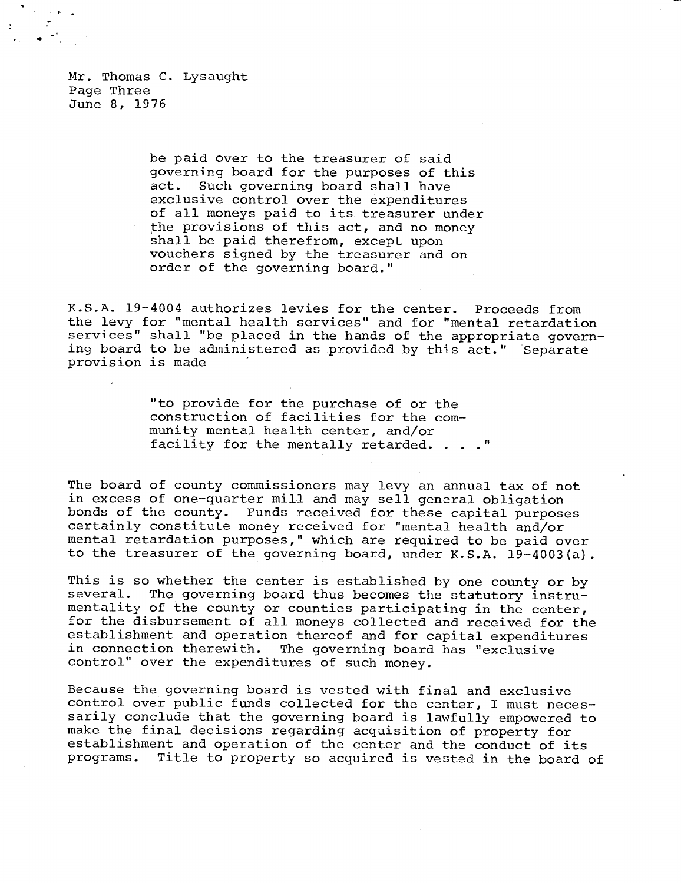Mr. Thomas C. Lysaught Page Three June 8, 1976

> be paid over to the treasurer of said governing board for the purposes of this act. Such governing board shall have exclusive control over the expenditures of all moneys paid to its treasurer under the provisions of this act, and no money shall be paid therefrom, except upon vouchers signed by the treasurer and on order of the governing board."

K.S.A. 19-4004 authorizes levies for the center. Proceeds from the levy for "mental health services" and for "mental retardation services" shall "be placed in the hands of the appropriate governing board to be administered as provided by this act." Separate provision is made

> "to provide for the purchase of or the construction of facilities for the community mental health center, and/or facility for the mentally retarded. . . . "

The board of county commissioners may levy an annual tax of not in excess of one-quarter mill and may sell general obligation bonds of the county. Funds received for these capital purposes certainly constitute money received for "mental health and/or mental retardation purposes," which are required to be paid over to the treasurer of the governing board, under K.S.A. 19-4003(a).

This is so whether the center is established by one county or by several. The governing board thus becomes the statutory instrumentality of the county or counties participating in the center, for the disbursement of all moneys collected and received for the establishment and operation thereof and for capital expenditures in connection therewith. The governing board has "exclusive control" over the expenditures of such money.

Because the governing board is vested with final and exclusive control over public funds collected for the center, I must necessarily conclude that the governing board is lawfully empowered to make the final decisions regarding acquisition of property for establishment and operation of the center and the conduct of its programs. Title to property so acquired is vested in the board of